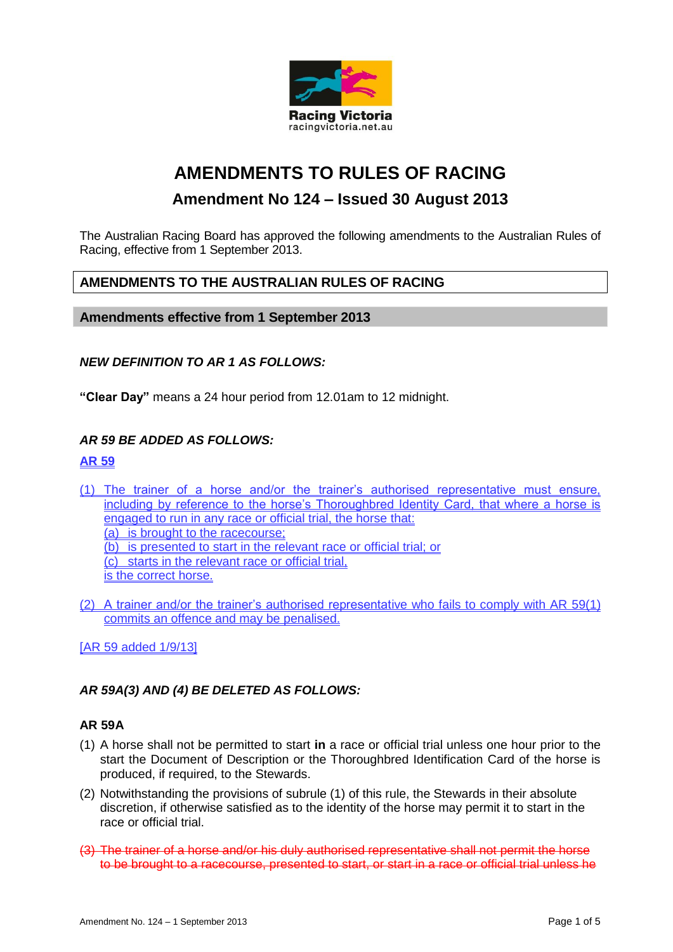

# **AMENDMENTS TO RULES OF RACING**

# **Amendment No 124 – Issued 30 August 2013**

The Australian Racing Board has approved the following amendments to the Australian Rules of Racing, effective from 1 September 2013.

# **AMENDMENTS TO THE AUSTRALIAN RULES OF RACING**

**Amendments effective from 1 September 2013**

#### *NEW DEFINITION TO AR 1 AS FOLLOWS:*

**"Clear Day"** means a 24 hour period from 12.01am to 12 midnight.

#### *AR 59 BE ADDED AS FOLLOWS:*

#### **AR 59**

(1) The trainer of a horse and/or the trainer's authorised representative must ensure, including by reference to the horse's Thoroughbred Identity Card, that where a horse is engaged to run in any race or official trial, the horse that: (a) is brought to the racecourse; (b) is presented to start in the relevant race or official trial; or

(c) starts in the relevant race or official trial,

is the correct horse.

(2) A trainer and/or the trainer's authorised representative who fails to comply with AR 59(1) commits an offence and may be penalised.

[AR 59 added 1/9/13]

# *AR 59A(3) AND (4) BE DELETED AS FOLLOWS:*

## **AR 59A**

- (1) A horse shall not be permitted to start **in** a race or official trial unless one hour prior to the start the Document of Description or the Thoroughbred Identification Card of the horse is produced, if required, to the Stewards.
- (2) Notwithstanding the provisions of subrule (1) of this rule, the Stewards in their absolute discretion, if otherwise satisfied as to the identity of the horse may permit it to start in the race or official trial.
- (3) The trainer of a horse and/or his duly authorised representative shall not permit the horse to be brought to a racecourse, presented to start, or start in a race or official trial unless he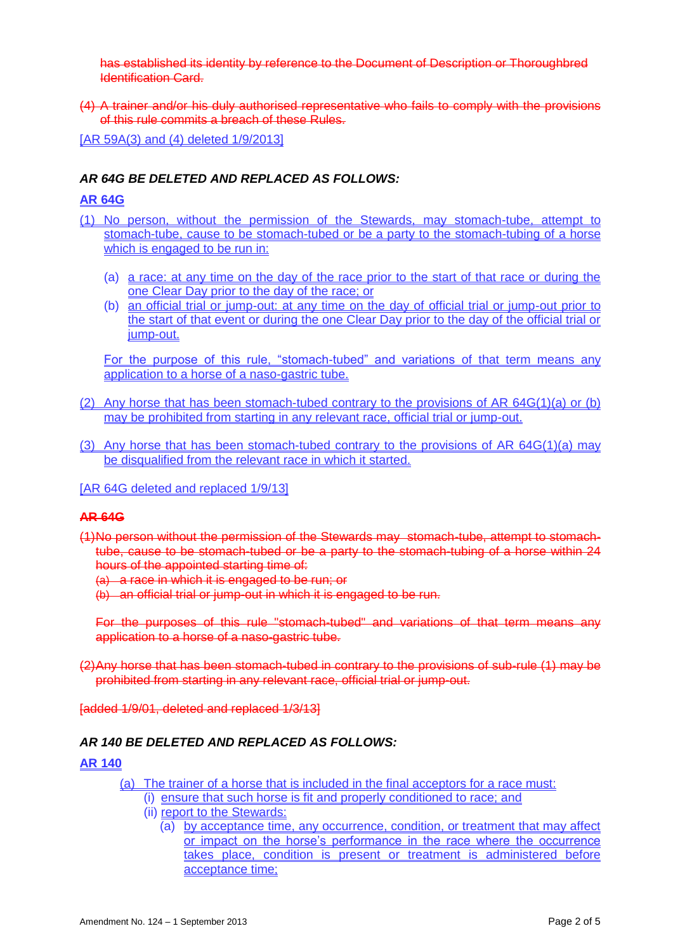has established its identity by reference to the Document of Description or Thoroughbred Identification Card.

(4) A trainer and/or his duly authorised representative who fails to comply with the provisions of this rule commits a breach of these Rules.

[AR 59A(3) and (4) deleted 1/9/2013]

## *AR 64G BE DELETED AND REPLACED AS FOLLOWS:*

#### **AR 64G**

- (1) No person, without the permission of the Stewards, may stomach-tube, attempt to stomach-tube, cause to be stomach-tubed or be a party to the stomach-tubing of a horse which is engaged to be run in:
	- (a) a race: at any time on the day of the race prior to the start of that race or during the one Clear Day prior to the day of the race; or
	- (b) an official trial or jump-out: at any time on the day of official trial or jump-out prior to the start of that event or during the one Clear Day prior to the day of the official trial or jump-out.

For the purpose of this rule, "stomach-tubed" and variations of that term means any application to a horse of a naso-gastric tube.

- (2) Any horse that has been stomach-tubed contrary to the provisions of AR 64G(1)(a) or (b) may be prohibited from starting in any relevant race, official trial or jump-out.
- (3) Any horse that has been stomach-tubed contrary to the provisions of AR 64G(1)(a) may be disqualified from the relevant race in which it started.
- [AR 64G deleted and replaced 1/9/13]

#### **AR 64G**

(1)No person without the permission of the Stewards may stomach-tube, attempt to stomachtube, cause to be stomach-tubed or be a party to the stomach-tubing of a horse within 24 hours of the appointed starting time of:

- (a) a race in which it is engaged to be run; or
- (b) an official trial or jump-out in which it is engaged to be run.

For the purposes of this rule "stomach-tubed" and variations of that term means any application to a horse of a naso-gastric tube.

(2)Any horse that has been stomach-tubed in contrary to the provisions of sub-rule (1) may be prohibited from starting in any relevant race, official trial or jump-out.

[added 1/9/01, deleted and replaced 1/3/13]

#### *AR 140 BE DELETED AND REPLACED AS FOLLOWS:*

#### **AR 140**

- (a) The trainer of a horse that is included in the final acceptors for a race must:
	- (i) ensure that such horse is fit and properly conditioned to race; and
	- (ii) report to the Stewards:
		- (a) by acceptance time, any occurrence, condition, or treatment that may affect or impact on the horse's performance in the race where the occurrence takes place, condition is present or treatment is administered before acceptance time;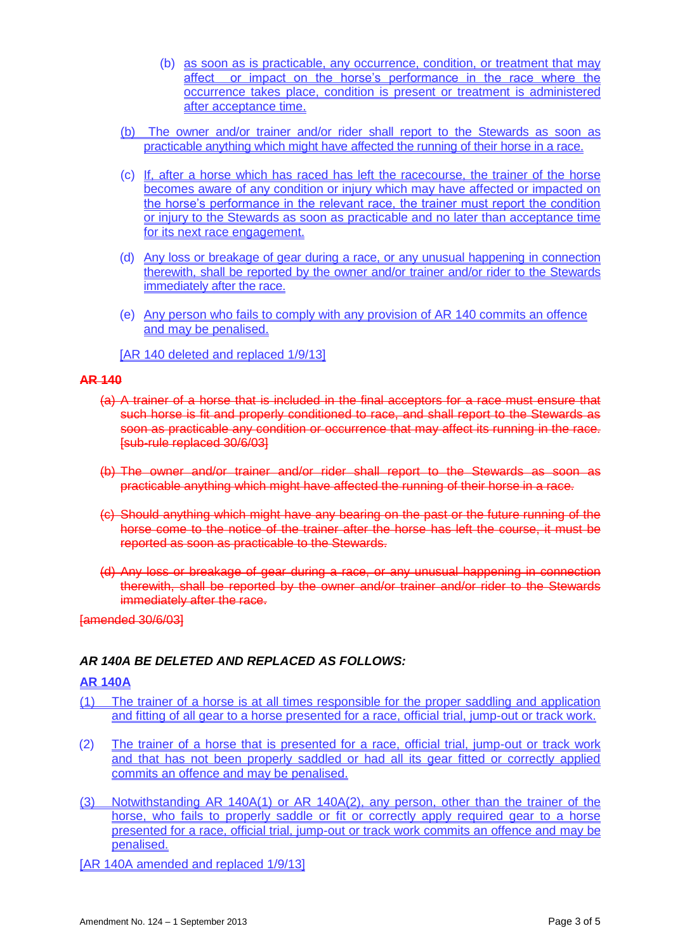- (b) as soon as is practicable, any occurrence, condition, or treatment that may affect or impact on the horse's performance in the race where the occurrence takes place, condition is present or treatment is administered after acceptance time.
- (b) The owner and/or trainer and/or rider shall report to the Stewards as soon as practicable anything which might have affected the running of their horse in a race.
- (c) If, after a horse which has raced has left the racecourse, the trainer of the horse becomes aware of any condition or injury which may have affected or impacted on the horse's performance in the relevant race, the trainer must report the condition or injury to the Stewards as soon as practicable and no later than acceptance time for its next race engagement.
- (d) Any loss or breakage of gear during a race, or any unusual happening in connection therewith, shall be reported by the owner and/or trainer and/or rider to the Stewards immediately after the race.
- (e) Any person who fails to comply with any provision of AR 140 commits an offence and may be penalised.
- [AR 140 deleted and replaced 1/9/13]

#### **AR 140**

- (a) A trainer of a horse that is included in the final acceptors for a race must ensure that such horse is fit and properly conditioned to race, and shall report to the Stewards as soon as practicable any condition or occurrence that may affect its running in the race. [sub-rule replaced 30/6/03]
- (b) The owner and/or trainer and/or rider shall report to the Stewards as soon as practicable anything which might have affected the running of their horse in a race.
- (c) Should anything which might have any bearing on the past or the future running of the horse come to the notice of the trainer after the horse has left the course, it must be reported as soon as practicable to the Stewards.
- (d) Any loss or breakage of gear during a race, or any unusual happening in connection therewith, shall be reported by the owner and/or trainer and/or rider to the Stewards immediately after the race.

[amended 30/6/03]

# *AR 140A BE DELETED AND REPLACED AS FOLLOWS:*

#### **AR 140A**

- (1) The trainer of a horse is at all times responsible for the proper saddling and application and fitting of all gear to a horse presented for a race, official trial, jump-out or track work.
- (2) The trainer of a horse that is presented for a race, official trial, jump-out or track work and that has not been properly saddled or had all its gear fitted or correctly applied commits an offence and may be penalised.
- (3) Notwithstanding AR 140A(1) or AR 140A(2), any person, other than the trainer of the horse, who fails to properly saddle or fit or correctly apply required gear to a horse presented for a race, official trial, jump-out or track work commits an offence and may be penalised.
- [AR 140A amended and replaced 1/9/13]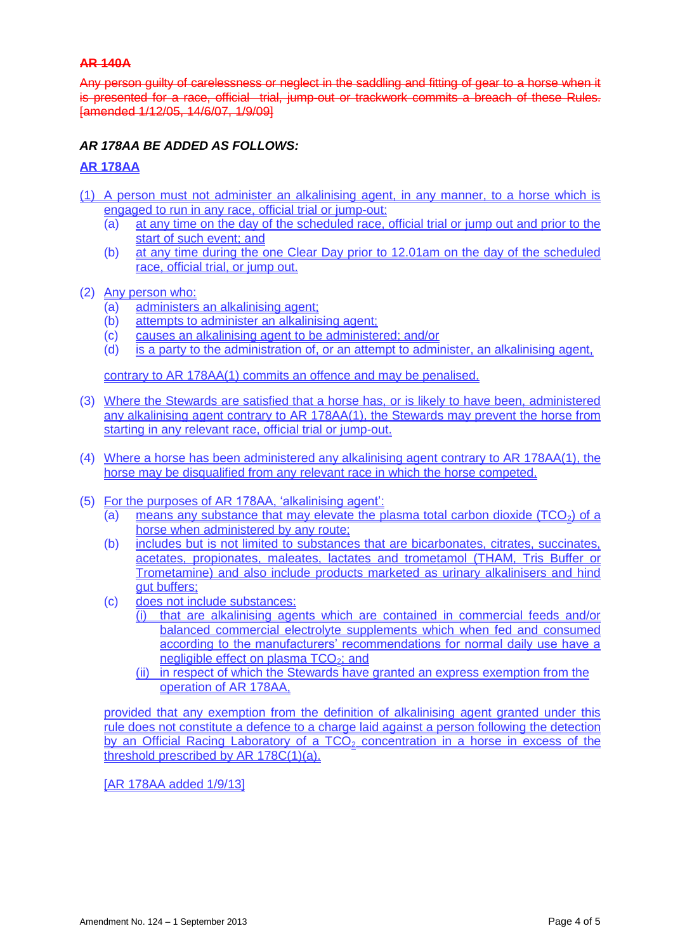## **AR 140A**

Any person guilty of carelessness or neglect in the saddling and fitting of gear to a horse when it is presented for a race, official trial, jump-out or trackwork commits a breach of these Rules. [amended 1/12/05, 14/6/07, 1/9/09]

# *AR 178AA BE ADDED AS FOLLOWS:*

#### **AR 178AA**

- (1) A person must not administer an alkalinising agent, in any manner, to a horse which is engaged to run in any race, official trial or jump-out:
	- (a) at any time on the day of the scheduled race, official trial or jump out and prior to the start of such event; and
	- (b) at any time during the one Clear Day prior to 12.01am on the day of the scheduled race, official trial, or jump out.
- (2) Any person who:
	- (a) administers an alkalinising agent;
	- (b) attempts to administer an alkalinising agent;
	- (c) causes an alkalinising agent to be administered; and/or
	- (d) is a party to the administration of, or an attempt to administer, an alkalinising agent,

contrary to AR 178AA(1) commits an offence and may be penalised.

- (3) Where the Stewards are satisfied that a horse has, or is likely to have been, administered any alkalinising agent contrary to AR 178AA(1), the Stewards may prevent the horse from starting in any relevant race, official trial or jump-out.
- (4) Where a horse has been administered any alkalinising agent contrary to AR 178AA(1), the horse may be disqualified from any relevant race in which the horse competed.
- (5) For the purposes of AR 178AA, 'alkalinising agent':
	- (a) means any substance that may elevate the plasma total carbon dioxide ( $TCO<sub>2</sub>$ ) of a horse when administered by any route;
	- (b) includes but is not limited to substances that are bicarbonates, citrates, succinates, acetates, propionates, maleates, lactates and trometamol (THAM, Tris Buffer or Trometamine) and also include products marketed as urinary alkalinisers and hind gut buffers;
	- (c) does not include substances:
		- (i) that are alkalinising agents which are contained in commercial feeds and/or balanced commercial electrolyte supplements which when fed and consumed according to the manufacturers' recommendations for normal daily use have a negligible effect on plasma TCO<sub>2</sub>; and
		- (ii) in respect of which the Stewards have granted an express exemption from the operation of AR 178AA,

provided that any exemption from the definition of alkalinising agent granted under this rule does not constitute a defence to a charge laid against a person following the detection by an Official Racing Laboratory of a  $TCO<sub>2</sub>$  concentration in a horse in excess of the threshold prescribed by AR 178C(1)(a).

[AR 178AA added 1/9/13]